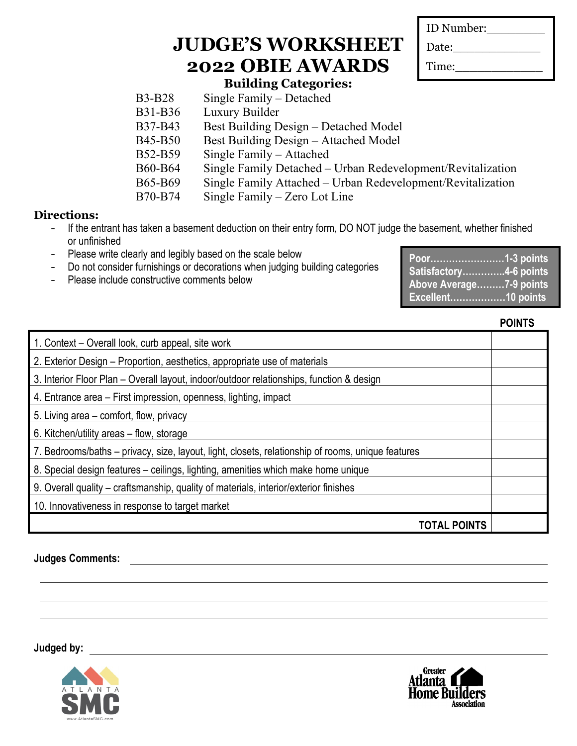| ID Number: |
|------------|
| Date:      |
| Time:      |

### **Building Categories:**

| <b>B3-B28</b>  | Single Family $-$ Detached                                  |
|----------------|-------------------------------------------------------------|
| <b>B31-B36</b> | Luxury Builder                                              |
| B37-B43        | Best Building Design – Detached Model                       |
| <b>B45-B50</b> | Best Building Design – Attached Model                       |
| B52-B59        | Single Family – Attached                                    |
| <b>B60-B64</b> | Single Family Detached – Urban Redevelopment/Revitalization |
| <b>B65-B69</b> | Single Family Attached – Urban Redevelopment/Revitalization |
| B70-B74        | Single Family – Zero Lot Line                               |

#### **Directions:**

- If the entrant has taken a basement deduction on their entry form, DO NOT judge the basement, whether finished or unfinished
- Please write clearly and legibly based on the scale below
- Do not consider furnishings or decorations when judging building categories
- Please include constructive comments below

| Poor1-3 points          |  |
|-------------------------|--|
| Satisfactory4-6 points  |  |
| Above Average7-9 points |  |
| Excellent10 points      |  |

#### **POINTS**

| 1. Context – Overall look, curb appeal, site work                                                 |  |
|---------------------------------------------------------------------------------------------------|--|
| 2. Exterior Design – Proportion, aesthetics, appropriate use of materials                         |  |
| 3. Interior Floor Plan - Overall layout, indoor/outdoor relationships, function & design          |  |
| 4. Entrance area – First impression, openness, lighting, impact                                   |  |
| 5. Living area – comfort, flow, privacy                                                           |  |
| 6. Kitchen/utility areas – flow, storage                                                          |  |
| 7. Bedrooms/baths – privacy, size, layout, light, closets, relationship of rooms, unique features |  |
| 8. Special design features – ceilings, lighting, amenities which make home unique                 |  |
| 9. Overall quality – craftsmanship, quality of materials, interior/exterior finishes              |  |
| 10. Innovativeness in response to target market                                                   |  |
| <b>TOTAL POINTS</b>                                                                               |  |
|                                                                                                   |  |

**Judges Comments:**



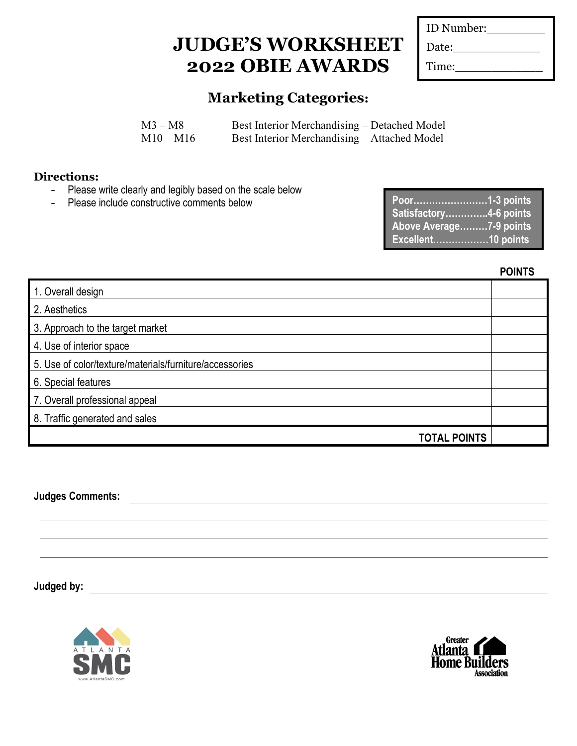| ID Number: |  |
|------------|--|
| Date:      |  |
| Time:      |  |

### **Marketing Categories:**

| $M3 - M8$   | Best Interior Merchandising – Detached Model |
|-------------|----------------------------------------------|
| $M10 - M16$ | Best Interior Merchandising – Attached Model |

#### **Directions:**

- Please write clearly and legibly based on the scale below
- Please include constructive comments below

| Poor1-3 points          |  |
|-------------------------|--|
| Satisfactory4-6 points  |  |
| Above Average7-9 points |  |
| Excellent10 points      |  |

**POINTS**

| 1. Overall design                                       |  |
|---------------------------------------------------------|--|
| 2. Aesthetics                                           |  |
| 3. Approach to the target market                        |  |
| 4. Use of interior space                                |  |
| 5. Use of color/texture/materials/furniture/accessories |  |
| 6. Special features                                     |  |
| 7. Overall professional appeal                          |  |
| 8. Traffic generated and sales                          |  |
| <b>TOTAL POINTS</b>                                     |  |

**Judges Comments:**



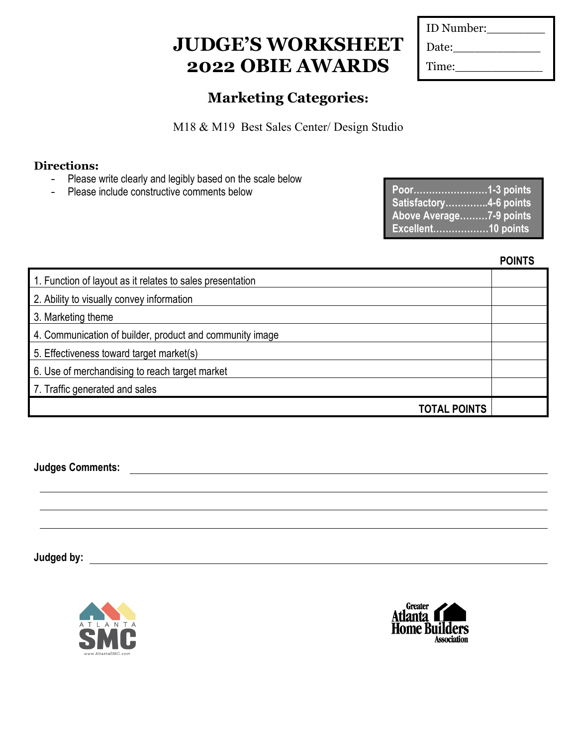| ID Number: |  |
|------------|--|
| Date:      |  |
| Time:      |  |

### **Marketing Categories:**

M18 & M19 Best Sales Center/ Design Studio

### **Directions:**

- Please write clearly and legibly based on the scale below
- Please include constructive comments below

| Poor1-3 points          |
|-------------------------|
| Satisfactory4-6 points  |
| Above Average7-9 points |
| Excellent10 points      |

#### **POINTS**

| 1. Function of layout as it relates to sales presentation |  |
|-----------------------------------------------------------|--|
| 2. Ability to visually convey information                 |  |
| 3. Marketing theme                                        |  |
| 4. Communication of builder, product and community image  |  |
| 5. Effectiveness toward target market(s)                  |  |
| 6. Use of merchandising to reach target market            |  |
| 7. Traffic generated and sales                            |  |
| <b>TOTAL POINTS</b>                                       |  |

**Judges Comments:**



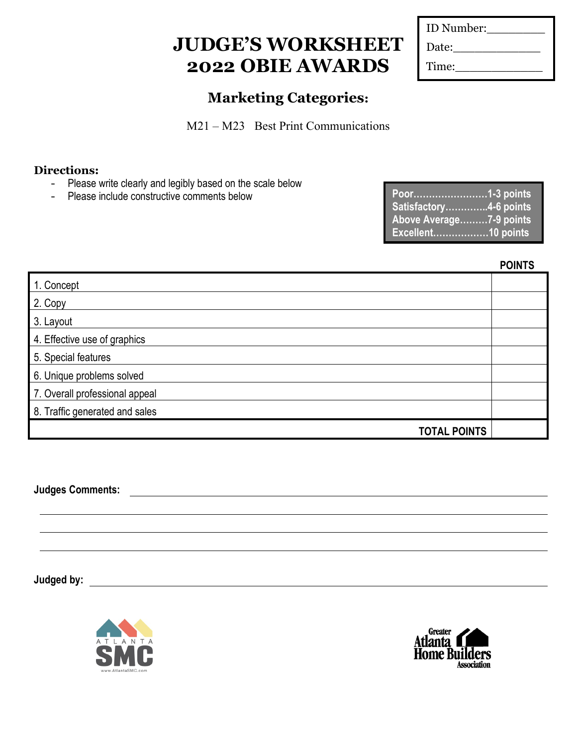| ID Number: |  |
|------------|--|
| Date:      |  |
| Time:      |  |

### **Marketing Categories:**

M21 – M23 Best Print Communications

### **Directions:**

- Please write clearly and legibly based on the scale below
- Please include constructive comments below

| Poor1-3 points          |  |
|-------------------------|--|
| Satisfactory4-6 points  |  |
| Above Average7-9 points |  |
| Excellent10 points      |  |

**POINTS**

| 1. Concept                     |  |
|--------------------------------|--|
| 2. Copy                        |  |
| 3. Layout                      |  |
| 4. Effective use of graphics   |  |
| 5. Special features            |  |
| 6. Unique problems solved      |  |
| 7. Overall professional appeal |  |
| 8. Traffic generated and sales |  |
| <b>TOTAL POINTS</b>            |  |

**Judges Comments:**



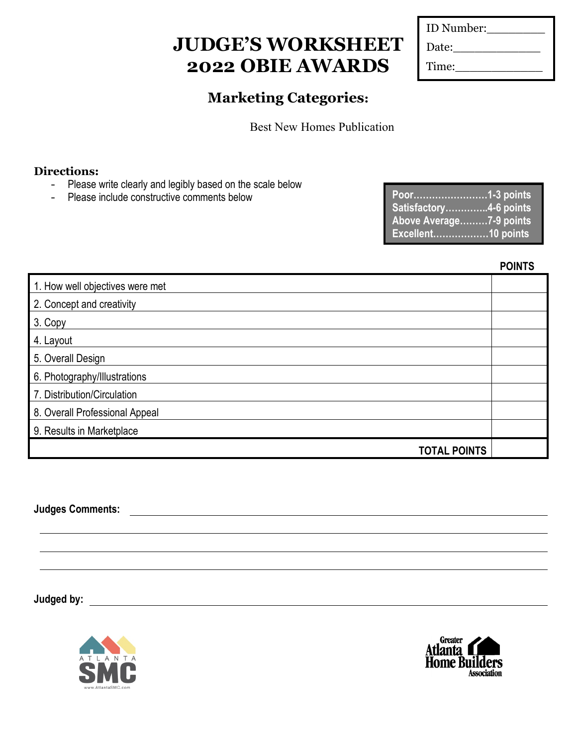| ID Number: |  |
|------------|--|
| Date:      |  |
| Time:      |  |

### **Marketing Categories:**

Best New Homes Publication

#### **Directions:**

- Please write clearly and legibly based on the scale below
- Please include constructive comments below

| Poor <u></u> 1-3 points |  |
|-------------------------|--|
| Satisfactory4-6 points  |  |
| Above Average7-9 points |  |
| Excellent10 points      |  |

**POINTS**

| 1. How well objectives were met |  |
|---------------------------------|--|
| 2. Concept and creativity       |  |
| 3. Copy                         |  |
| 4. Layout                       |  |
| 5. Overall Design               |  |
| 6. Photography/Illustrations    |  |
| 7. Distribution/Circulation     |  |
| 8. Overall Professional Appeal  |  |
| 9. Results in Marketplace       |  |
| <b>TOTAL POINTS</b>             |  |

**Judges Comments:**



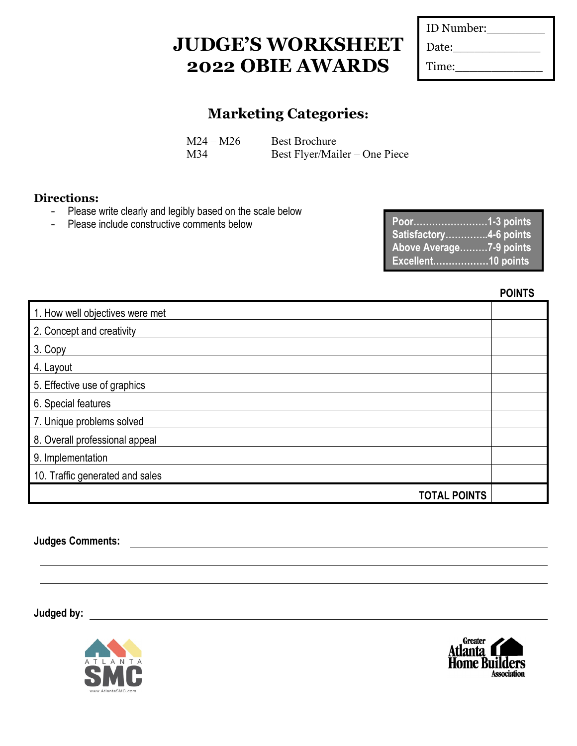| ID Number: |  |
|------------|--|
| Date:      |  |
| Time:      |  |

### **Marketing Categories:**

 $M24 - M26$  Best Brochure M34 Best Flyer/Mailer – One Piece

#### **Directions:**

- Please write clearly and legibly based on the scale below<br>- Please include constructive comments below
- Please include constructive comments below

| Satisfactory4-6 points    |  |
|---------------------------|--|
| Above Average7-9 points   |  |
| <b>Excellent10 points</b> |  |

**POINTS**

| 1. How well objectives were met |  |
|---------------------------------|--|
| 2. Concept and creativity       |  |
| 3. Copy                         |  |
| 4. Layout                       |  |
| 5. Effective use of graphics    |  |
| 6. Special features             |  |
| 7. Unique problems solved       |  |
| 8. Overall professional appeal  |  |
| 9. Implementation               |  |
| 10. Traffic generated and sales |  |
| <b>TOTAL POINTS</b>             |  |
|                                 |  |

**Judges Comments:**



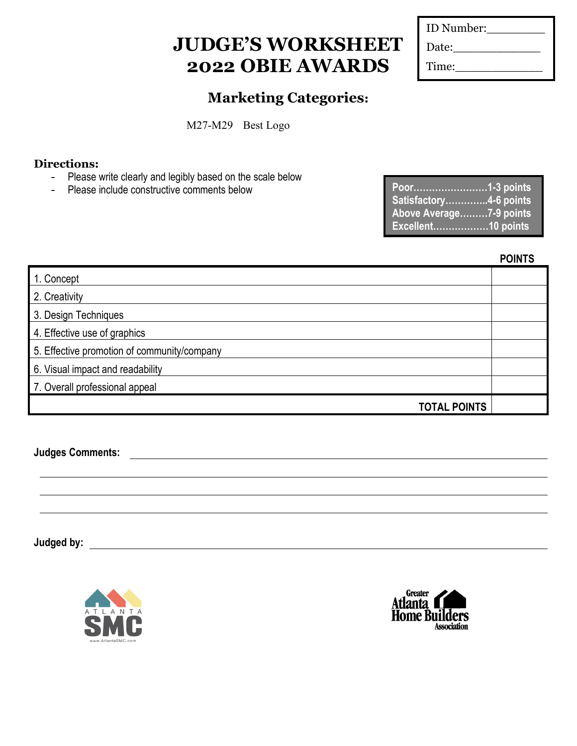| ID Number: |  |
|------------|--|
| Date:      |  |
| Time:      |  |

### **Marketing Categories:**

M27-M29 Best Logo

### **Directions:**

- Please write clearly and legibly based on the scale below
- Please include constructive comments below

| Poor1-3 points          |  |
|-------------------------|--|
| Satisfactory4-6 points  |  |
| Above Average7-9 points |  |
| Excellent10 points      |  |

#### **POINTS**

| 1. Concept                                  |  |
|---------------------------------------------|--|
| 2. Creativity                               |  |
| 3. Design Techniques                        |  |
| 4. Effective use of graphics                |  |
| 5. Effective promotion of community/company |  |
| 6. Visual impact and readability            |  |
| 7. Overall professional appeal              |  |
| <b>TOTAL POINTS</b>                         |  |

**Judges Comments:**



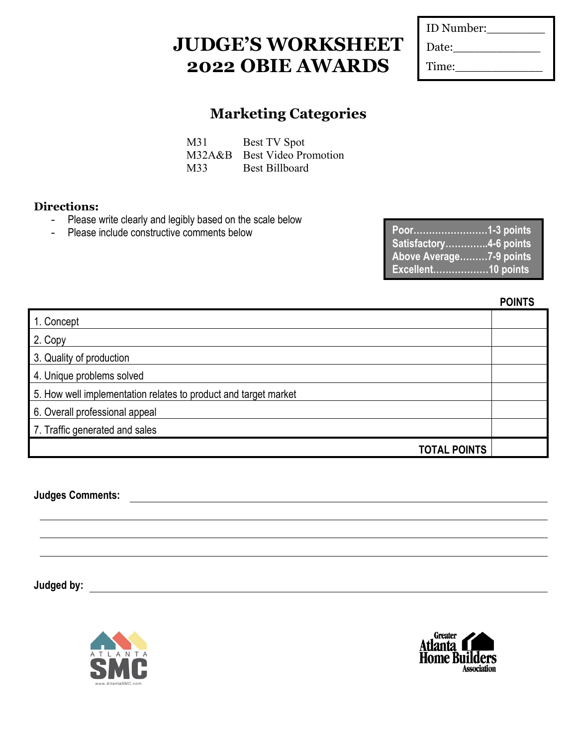| ID Number: |  |
|------------|--|
| Date:      |  |
| Time:      |  |

## **Marketing Categories**

M31 Best TV Spot M32A&B Best Video Promotion M33 Best Billboard

### **Directions:**

- Please write clearly and legibly based on the scale below
- Please include constructive comments below

| Poor1-3 points          |  |
|-------------------------|--|
| Satisfactory4-6 points  |  |
| Above Average7-9 points |  |
|                         |  |

**POINTS**

|                                                                 | . |
|-----------------------------------------------------------------|---|
| 1. Concept                                                      |   |
| 2. Copy                                                         |   |
| 3. Quality of production                                        |   |
| 4. Unique problems solved                                       |   |
| 5. How well implementation relates to product and target market |   |
| 6. Overall professional appeal                                  |   |
| 7. Traffic generated and sales                                  |   |
| <b>TOTAL POINTS</b>                                             |   |
|                                                                 |   |

**Judges Comments:**



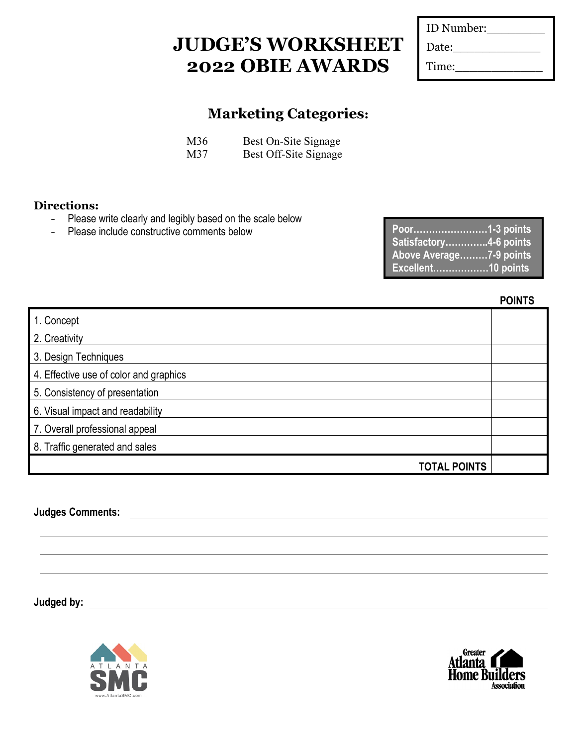| ID Number: |
|------------|
| Date:      |
| Time:      |
|            |

### **Marketing Categories:**

| M36 | Best On-Site Signage  |
|-----|-----------------------|
| M37 | Best Off-Site Signage |

#### **Directions:**

- Please write clearly and legibly based on the scale below<br>- Please include constructive comments below
- Please include constructive comments below

| Poor1-3 points          |  |
|-------------------------|--|
| Satisfactory4-6 points  |  |
| Above Average7-9 points |  |
| Excellent10 points      |  |

**POINTS**

| 1. Concept                             |  |
|----------------------------------------|--|
| 2. Creativity                          |  |
| 3. Design Techniques                   |  |
| 4. Effective use of color and graphics |  |
| 5. Consistency of presentation         |  |
| 6. Visual impact and readability       |  |
| 7. Overall professional appeal         |  |
| 8. Traffic generated and sales         |  |
| <b>TOTAL POINTS</b>                    |  |

**Judges Comments:**



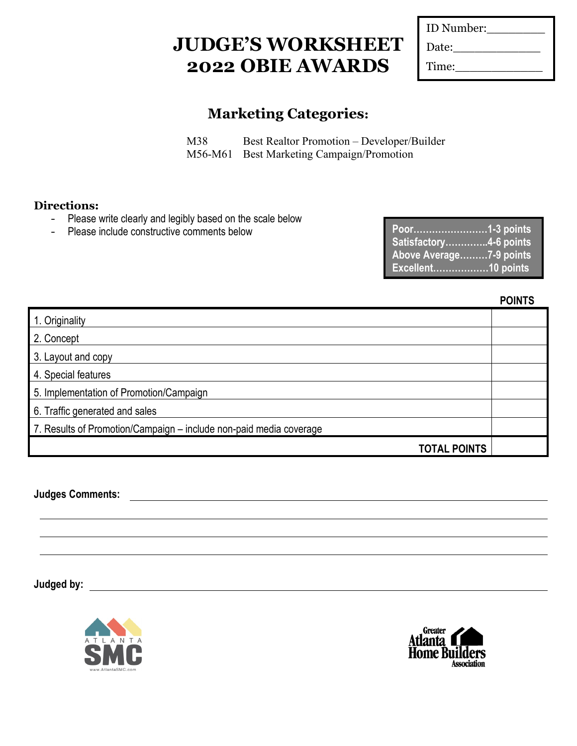| ID Number: |  |
|------------|--|
| Date:      |  |
| Time:      |  |

### **Marketing Categories:**

M38 Best Realtor Promotion – Developer/Builder M56-M61 Best Marketing Campaign/Promotion

#### **Directions:**

- Please write clearly and legibly based on the scale below
- Please include constructive comments below

| Satisfactory4-6 points  |
|-------------------------|
| Above Average7-9 points |
| Excellent10 points      |

**POINTS**

| 1. Originality                                                     |  |
|--------------------------------------------------------------------|--|
| 2. Concept                                                         |  |
| 3. Layout and copy                                                 |  |
| 4. Special features                                                |  |
| 5. Implementation of Promotion/Campaign                            |  |
| 6. Traffic generated and sales                                     |  |
| 7. Results of Promotion/Campaign - include non-paid media coverage |  |
| <b>TOTAL POINTS</b>                                                |  |

**Judges Comments:**



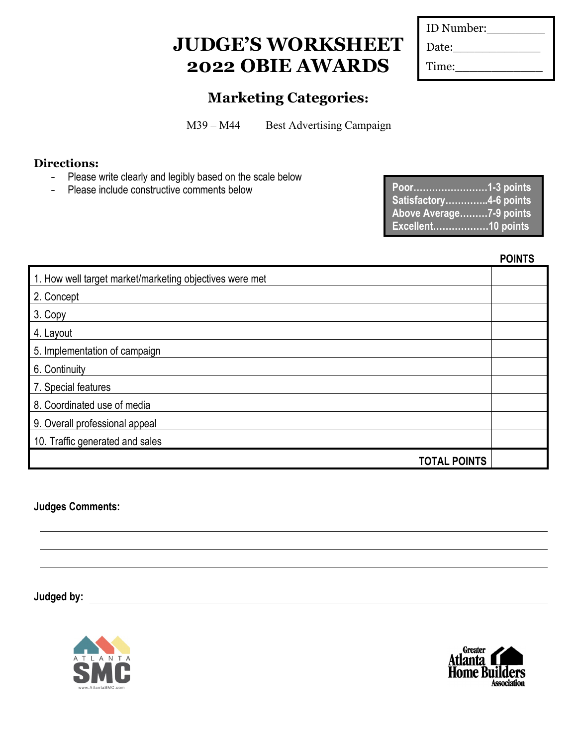| ID Number: |  |
|------------|--|
| Date:      |  |
| Time:      |  |

### **Marketing Categories:**

M39 – M44 Best Advertising Campaign

### **Directions:**

- Please write clearly and legibly based on the scale below
- Please include constructive comments below

| Satisfactory4-6 points  |  |
|-------------------------|--|
| Above Average7-9 points |  |
| Excellent10 points      |  |

#### **POINTS**

| 1. How well target market/marketing objectives were met |  |
|---------------------------------------------------------|--|
| 2. Concept                                              |  |
| 3. Copy                                                 |  |
| 4. Layout                                               |  |
| 5. Implementation of campaign                           |  |
| 6. Continuity                                           |  |
| 7. Special features                                     |  |
| 8. Coordinated use of media                             |  |
| 9. Overall professional appeal                          |  |
| 10. Traffic generated and sales                         |  |
| <b>TOTAL POINTS</b>                                     |  |

### **Judges Comments:**



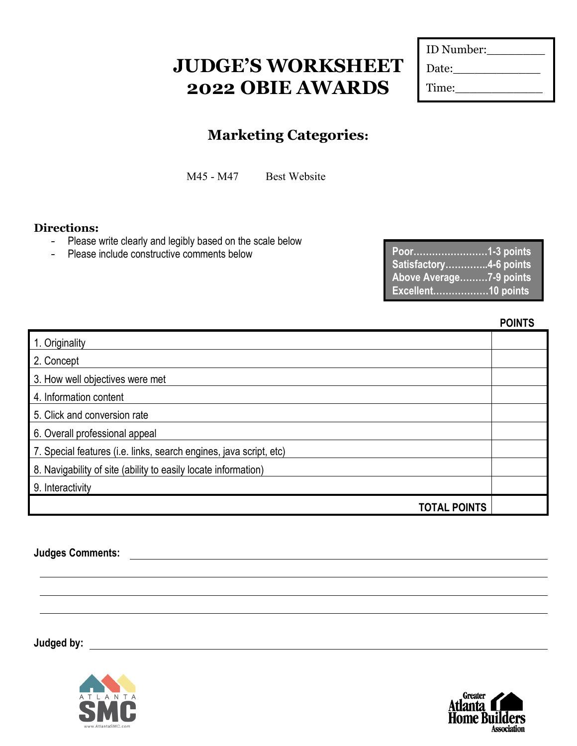| ID Number: |  |
|------------|--|
| Date:      |  |
| Time:      |  |

### **Marketing Categories:**

M45 - M47 Best Website

#### **Directions:**

- Please write clearly and legibly based on the scale below<br>- Please include constructive comments below
- Please include constructive comments below

| Satisfactory4-6 points                        |  |
|-----------------------------------------------|--|
| Above Average7-9 points<br>Excellent10 points |  |

**POINTS**

| 1. Originality                                                     |  |
|--------------------------------------------------------------------|--|
| 2. Concept                                                         |  |
| 3. How well objectives were met                                    |  |
| 4. Information content                                             |  |
| 5. Click and conversion rate                                       |  |
| 6. Overall professional appeal                                     |  |
| 7. Special features (i.e. links, search engines, java script, etc) |  |
| 8. Navigability of site (ability to easily locate information)     |  |
| 9. Interactivity                                                   |  |
| <b>TOTAL POINTS</b>                                                |  |

<u> 1980 - Johann Barbara, martxa amerikan personal (h. 1980).</u>

#### **Judges Comments:**



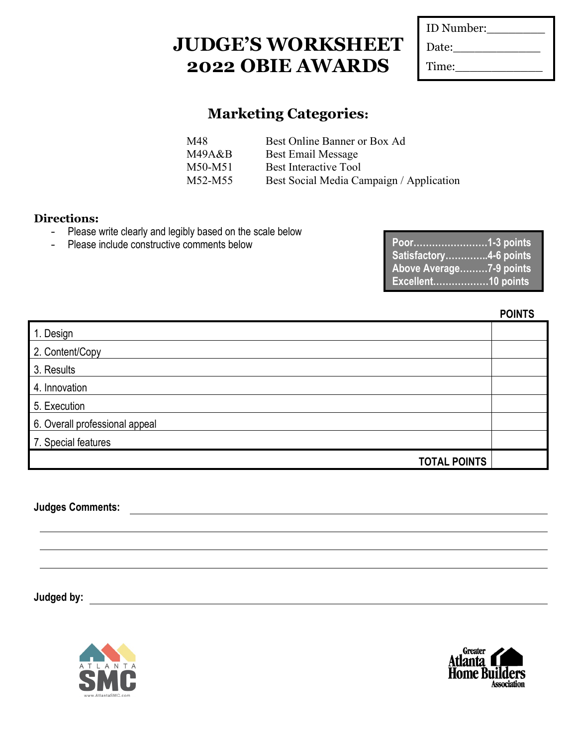| ID Number: |  |
|------------|--|
| Date:      |  |
| Time:      |  |

### **Marketing Categories:**

| Best Online Banner or Box Ad             |
|------------------------------------------|
| <b>Best Email Message</b>                |
| Best Interactive Tool                    |
| Best Social Media Campaign / Application |
|                                          |

#### **Directions:**

- Please write clearly and legibly based on the scale below
- Please include constructive comments below

| Poor1-3 points<br>Satisfactory4-6 points      |  |
|-----------------------------------------------|--|
| Above Average7-9 points<br>Excellent10 points |  |

| IN1<br>n |
|----------|
|----------|

| 1. Design                      |  |
|--------------------------------|--|
| 2. Content/Copy                |  |
| 3. Results                     |  |
| 4. Innovation                  |  |
| 5. Execution                   |  |
| 6. Overall professional appeal |  |
| 7. Special features            |  |
| <b>TOTAL POINTS</b>            |  |

**Judges Comments:**



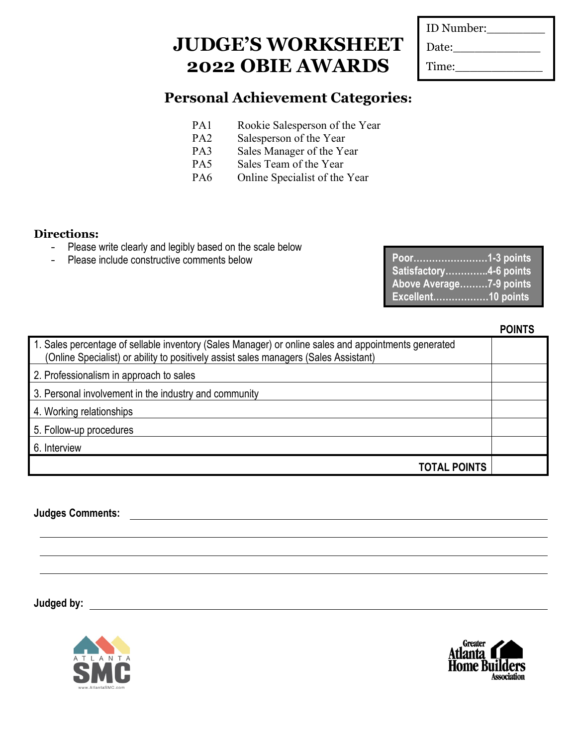| ID Number: |  |
|------------|--|
| Date:      |  |
| Time:      |  |

### **Personal Achievement Categories:**

- PA1 Rookie Salesperson of the Year
- PA2 Salesperson of the Year
- PA3 Sales Manager of the Year
- PA5 Sales Team of the Year
- PA6 Online Specialist of the Year

#### **Directions:**

- Please write clearly and legibly based on the scale below
- Please include constructive comments below

| Poor1-3 points            |  |
|---------------------------|--|
| Satisfactory4-6 points    |  |
| Above Average7-9 points   |  |
| <b>Excellent10 points</b> |  |

#### **POINTS**

| 1. Sales percentage of sellable inventory (Sales Manager) or online sales and appointments generated<br>(Online Specialist) or ability to positively assist sales managers (Sales Assistant) |  |
|----------------------------------------------------------------------------------------------------------------------------------------------------------------------------------------------|--|
| 2. Professionalism in approach to sales                                                                                                                                                      |  |
| 3. Personal involvement in the industry and community                                                                                                                                        |  |
| 4. Working relationships                                                                                                                                                                     |  |
| 5. Follow-up procedures                                                                                                                                                                      |  |
| 6. Interview                                                                                                                                                                                 |  |
| <b>TOTAL POINTS</b>                                                                                                                                                                          |  |

**Judges Comments:**



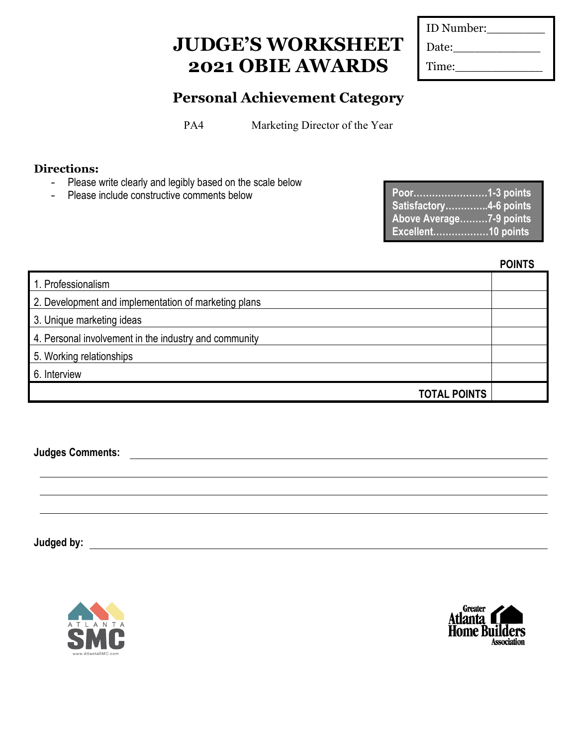| ID Number: |
|------------|
| Date:      |
| Time:      |

### **Personal Achievement Category**

PA4 Marketing Director of the Year

### **Directions:**

- Please write clearly and legibly based on the scale below
- Please include constructive comments below

| Satisfactory4-6 points  |  |
|-------------------------|--|
| Above Average7-9 points |  |
| Excellent10 points      |  |

| 1. Professionalism                                    |  |
|-------------------------------------------------------|--|
| 2. Development and implementation of marketing plans  |  |
| 3. Unique marketing ideas                             |  |
| 4. Personal involvement in the industry and community |  |
| 5. Working relationships                              |  |
| 6. Interview                                          |  |
| <b>TOTAL POINTS</b>                                   |  |

**Judges Comments:**



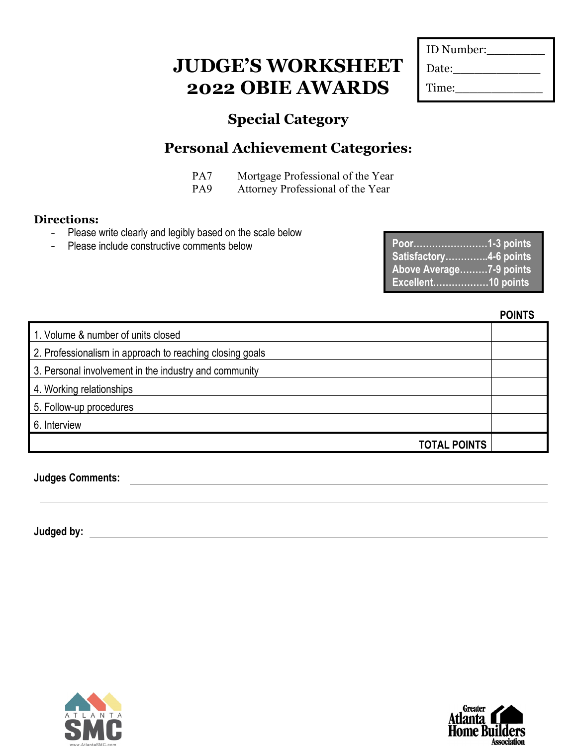| ID Number: |  |
|------------|--|
| Date:      |  |
| Time:      |  |

## **Special Category**

## **Personal Achievement Categories:**

PA7 Mortgage Professional of the Year

PA9 Attorney Professional of the Year

### **Directions:**

- Please write clearly and legibly based on the scale below
- Please include constructive comments below

| Poor1-3 points          |  |
|-------------------------|--|
| Satisfactory4-6 points  |  |
| Above Average7-9 points |  |
| Excellent10 points      |  |

|                                                          | <b>POINTS</b> |
|----------------------------------------------------------|---------------|
| 1. Volume & number of units closed                       |               |
| 2. Professionalism in approach to reaching closing goals |               |
| 3. Personal involvement in the industry and community    |               |
| 4. Working relationships                                 |               |
| 5. Follow-up procedures                                  |               |
| 6. Interview                                             |               |
| <b>TOTAL POINTS</b>                                      |               |

**Judges Comments:**



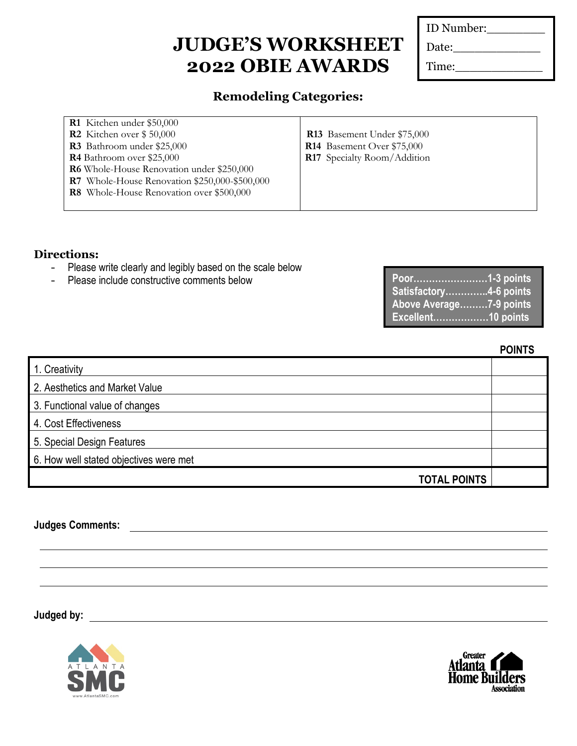| ID Number: |
|------------|
| Date:      |
| Time:      |

### **Remodeling Categories:**

| <b>R1</b> Kitchen under \$50,000              |                                    |
|-----------------------------------------------|------------------------------------|
| <b>R2</b> Kitchen over $$50,000$              | <b>R13</b> Basement Under \$75,000 |
| <b>R3</b> Bathroom under \$25,000             | R14 Basement Over \$75,000         |
| <b>R4</b> Bathroom over \$25,000              | R17 Specialty Room/Addition        |
| R6 Whole-House Renovation under \$250,000     |                                    |
| R7 Whole-House Renovation \$250,000-\$500,000 |                                    |
| R8 Whole-House Renovation over \$500,000      |                                    |
|                                               |                                    |

#### **Directions:**

- Please write clearly and legibly based on the scale below
- Please include constructive comments below

| Satisfactory4-6 points  |  |
|-------------------------|--|
| Above Average7-9 points |  |
| Excellent10 points      |  |

**POINTS**

| 1. Creativity                          |  |
|----------------------------------------|--|
| 2. Aesthetics and Market Value         |  |
| 3. Functional value of changes         |  |
| 4. Cost Effectiveness                  |  |
| 5. Special Design Features             |  |
| 6. How well stated objectives were met |  |
| <b>TOTAL POINTS</b>                    |  |

**Judges Comments:**



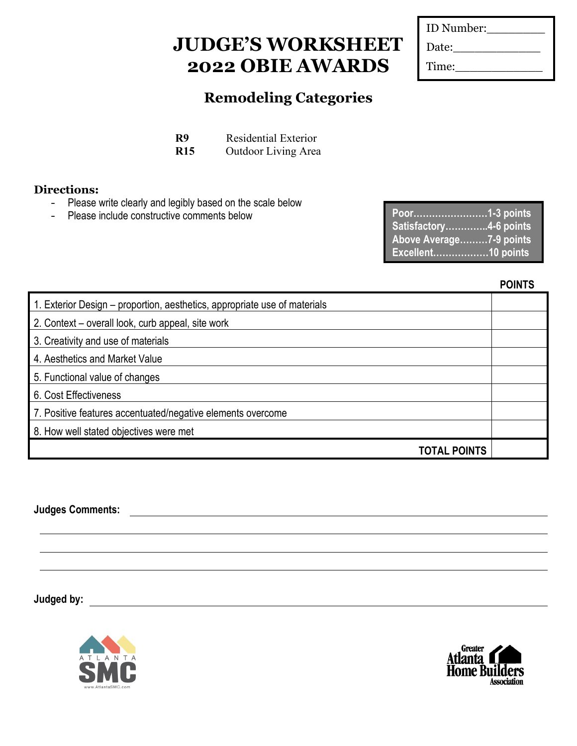| ID Number: |  |
|------------|--|
| Date:      |  |
| Time:      |  |

### **Remodeling Categories**

**R9** Residential Exterior

**R15** Outdoor Living Area

### **Directions:**

- Please write clearly and legibly based on the scale below
- Please include constructive comments below

| Satisfactory4-6 points  |  |
|-------------------------|--|
| Above Average7-9 points |  |
| Excellent10 points      |  |

**POINTS**

| 1. Exterior Design – proportion, aesthetics, appropriate use of materials |  |
|---------------------------------------------------------------------------|--|
| 2. Context – overall look, curb appeal, site work                         |  |
| 3. Creativity and use of materials                                        |  |
| 4. Aesthetics and Market Value                                            |  |
| 5. Functional value of changes                                            |  |
| 6. Cost Effectiveness                                                     |  |
| 7. Positive features accentuated/negative elements overcome               |  |
| 8. How well stated objectives were met                                    |  |
| <b>TOTAL POINTS</b>                                                       |  |

**Judges Comments:**



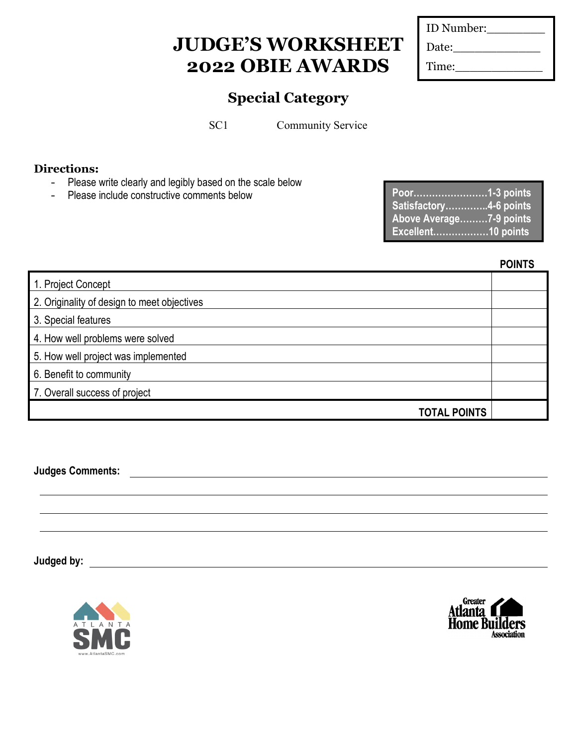| ID Number: |  |
|------------|--|
| Date:      |  |
| Time:      |  |

### **Special Category**

SC1 Community Service

### **Directions:**

- Please write clearly and legibly based on the scale below
- Please include constructive comments below

| Poor1-3 points          |  |
|-------------------------|--|
| Satisfactory4-6 points  |  |
| Above Average7-9 points |  |
| Excellent10 points      |  |

**POINTS**

| 1. Project Concept                          |  |
|---------------------------------------------|--|
| 2. Originality of design to meet objectives |  |
| 3. Special features                         |  |
| 4. How well problems were solved            |  |
| 5. How well project was implemented         |  |
| 6. Benefit to community                     |  |
| 7. Overall success of project               |  |
| <b>TOTAL POINTS</b>                         |  |

**Judges Comments:**



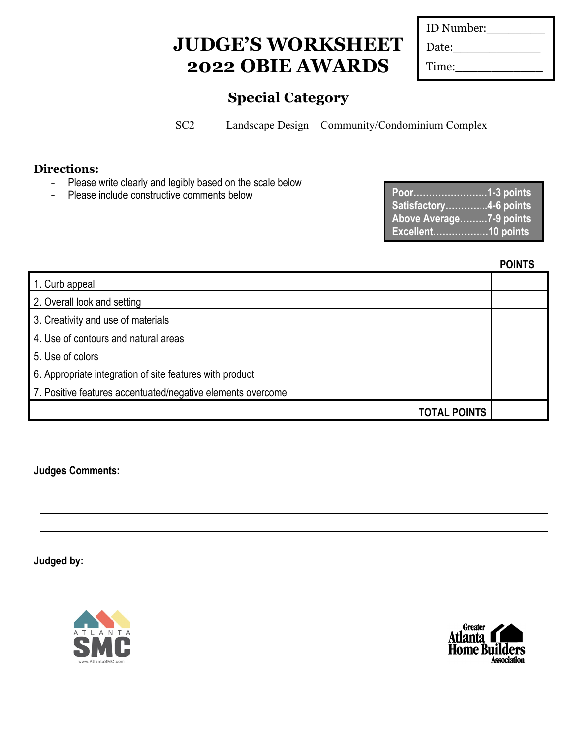| ID Number: |
|------------|
| Date:      |
| Time:      |

### **Special Category**

SC2 Landscape Design – Community/Condominium Complex

### **Directions:**

- Please write clearly and legibly based on the scale below
- Please include constructive comments below

| Poor1-3 points          |  |
|-------------------------|--|
| Satisfactory4-6 points  |  |
| Above Average7-9 points |  |
|                         |  |
| Excellent10 points      |  |

**POINTS**

| 1. Curb appeal                                              |  |
|-------------------------------------------------------------|--|
| 2. Overall look and setting                                 |  |
| 3. Creativity and use of materials                          |  |
| 4. Use of contours and natural areas                        |  |
| 5. Use of colors                                            |  |
| 6. Appropriate integration of site features with product    |  |
| 7. Positive features accentuated/negative elements overcome |  |
| <b>TOTAL POINTS</b>                                         |  |

**Judges Comments:**



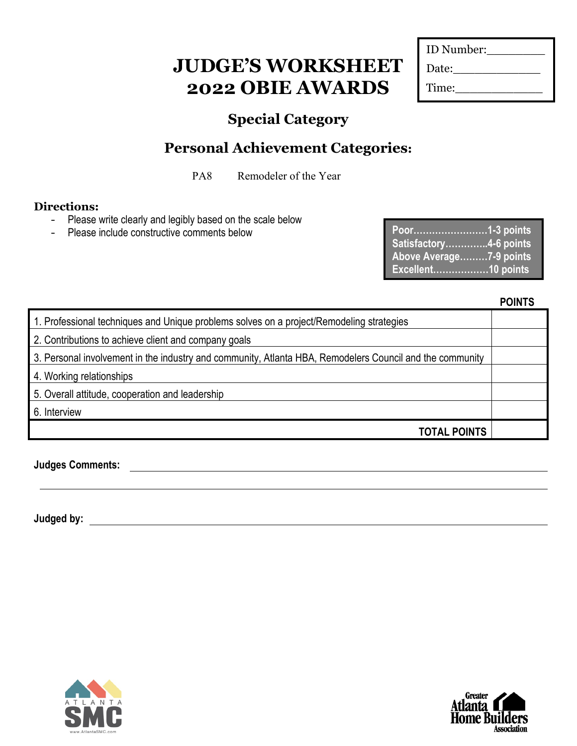| ID Number: |  |
|------------|--|
| Date:      |  |
| Time:      |  |

### **Special Category**

## **Personal Achievement Categories:**

PA8 Remodeler of the Year

### **Directions:**

- Please write clearly and legibly based on the scale below
- Please include constructive comments below

| Poor1-3 points          |  |
|-------------------------|--|
| Satisfactory4-6 points  |  |
| Above Average7-9 points |  |
| Excellent10 points      |  |

**POINTS**

| 1. Professional techniques and Unique problems solves on a project/Remodeling strategies                 |  |
|----------------------------------------------------------------------------------------------------------|--|
| 2. Contributions to achieve client and company goals                                                     |  |
| 3. Personal involvement in the industry and community, Atlanta HBA, Remodelers Council and the community |  |
| 4. Working relationships                                                                                 |  |
| 5. Overall attitude, cooperation and leadership                                                          |  |
| 6. Interview                                                                                             |  |
| <b>TOTAL POINTS</b>                                                                                      |  |

**Judges Comments:**



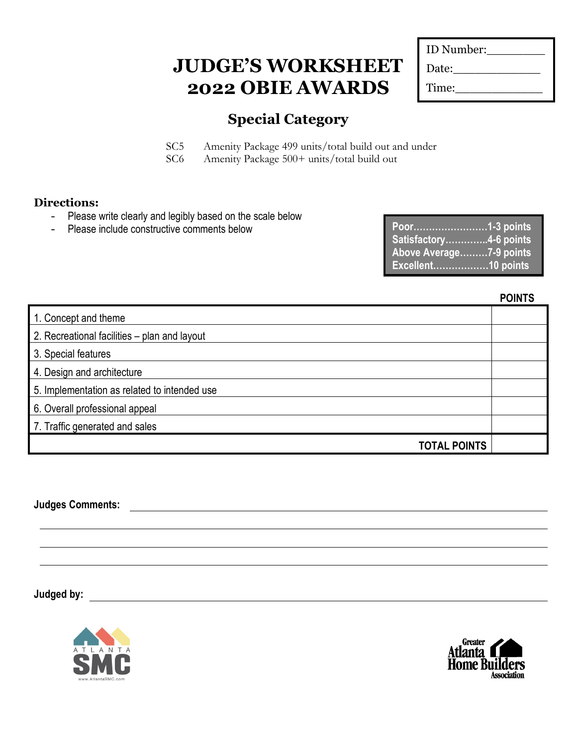| ID Number: |  |
|------------|--|
| Date:      |  |
| Time:      |  |

### **Special Category**

SC5 Amenity Package 499 units/total build out and under SC6 Amenity Package 500+ units/total build out

#### **Directions:**

- Please write clearly and legibly based on the scale below
- Please include constructive comments below

| Satisfactory4-6 points  |  |
|-------------------------|--|
| Above Average7-9 points |  |
| Excellent10 points      |  |

**POINTS**

| 1. Concept and theme                         |  |
|----------------------------------------------|--|
| 2. Recreational facilities – plan and layout |  |
| 3. Special features                          |  |
| 4. Design and architecture                   |  |
| 5. Implementation as related to intended use |  |
| 6. Overall professional appeal               |  |
| 7. Traffic generated and sales               |  |
| <b>TOTAL POINTS</b>                          |  |

**Judges Comments:**